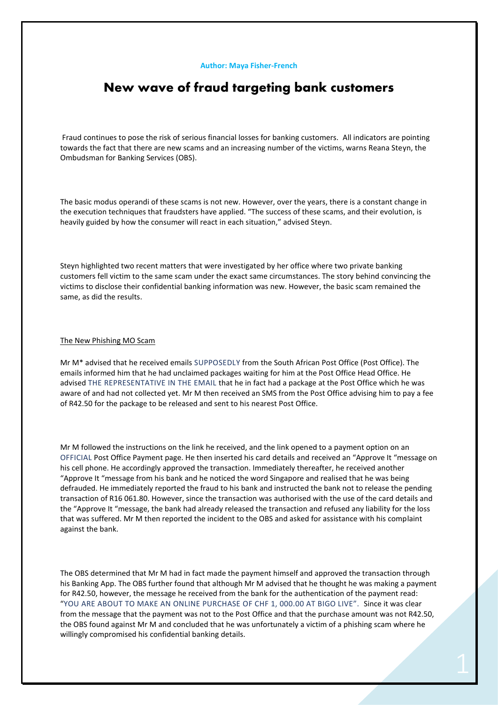#### **Author: Maya Fisher-French**

# **New wave of fraud targeting bank customers**

Fraud continues to pose the risk of serious financial losses for banking customers. All indicators are pointing towards the fact that there are new scams and an increasing number of the victims, warns Reana Steyn, the Ombudsman for Banking Services (OBS).

The basic modus operandi of these scams is not new. However, over the years, there is a constant change in the execution techniques that fraudsters have applied. "The success of these scams, and their evolution, is heavily guided by how the consumer will react in each situation," advised Steyn.

Steyn highlighted two recent matters that were investigated by her office where two private banking customers fell victim to the same scam under the exact same circumstances. The story behind convincing the victims to disclose their confidential banking information was new. However, the basic scam remained the same, as did the results.

## The New Phishing MO Scam

Mr M\* advised that he received emails SUPPOSEDLY from the South African Post Office (Post Office). The emails informed him that he had unclaimed packages waiting for him at the Post Office Head Office. He advised THE REPRESENTATIVE IN THE EMAIL that he in fact had a package at the Post Office which he was aware of and had not collected yet. Mr M then received an SMS from the Post Office advising him to pay a fee of R42.50 for the package to be released and sent to his nearest Post Office.

Mr M followed the instructions on the link he received, and the link opened to a payment option on an OFFICIAL Post Office Payment page. He then inserted his card details and received an "Approve It "message on his cell phone. He accordingly approved the transaction. Immediately thereafter, he received another "Approve It "message from his bank and he noticed the word Singapore and realised that he was being defrauded. He immediately reported the fraud to his bank and instructed the bank not to release the pending transaction of R16 061.80. However, since the transaction was authorised with the use of the card details and the "Approve It "message, the bank had already released the transaction and refused any liability for the loss that was suffered. Mr M then reported the incident to the OBS and asked for assistance with his complaint against the bank.

The OBS determined that Mr M had in fact made the payment himself and approved the transaction through his Banking App. The OBS further found that although Mr M advised that he thought he was making a payment for R42.50, however, the message he received from the bank for the authentication of the payment read: "YOU ARE ABOUT TO MAKE AN ONLINE PURCHASE OF CHF 1, 000.00 AT BIGO LIVE". Since it was clear from the message that the payment was not to the Post Office and that the purchase amount was not R42.50, the OBS found against Mr M and concluded that he was unfortunately a victim of a phishing scam where he willingly compromised his confidential banking details.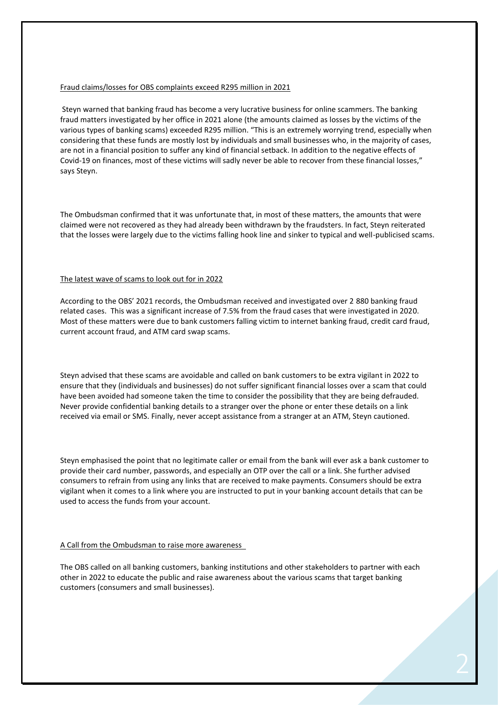#### Fraud claims/losses for OBS complaints exceed R295 million in 2021

Steyn warned that banking fraud has become a very lucrative business for online scammers. The banking fraud matters investigated by her office in 2021 alone (the amounts claimed as losses by the victims of the various types of banking scams) exceeded R295 million. "This is an extremely worrying trend, especially when considering that these funds are mostly lost by individuals and small businesses who, in the majority of cases, are not in a financial position to suffer any kind of financial setback. In addition to the negative effects of Covid-19 on finances, most of these victims will sadly never be able to recover from these financial losses," says Steyn.

The Ombudsman confirmed that it was unfortunate that, in most of these matters, the amounts that were claimed were not recovered as they had already been withdrawn by the fraudsters. In fact, Steyn reiterated that the losses were largely due to the victims falling hook line and sinker to typical and well-publicised scams.

### The latest wave of scams to look out for in 2022

According to the OBS' 2021 records, the Ombudsman received and investigated over 2 880 banking fraud related cases. This was a significant increase of 7.5% from the fraud cases that were investigated in 2020. Most of these matters were due to bank customers falling victim to internet banking fraud, credit card fraud, current account fraud, and ATM card swap scams.

Steyn advised that these scams are avoidable and called on bank customers to be extra vigilant in 2022 to ensure that they (individuals and businesses) do not suffer significant financial losses over a scam that could have been avoided had someone taken the time to consider the possibility that they are being defrauded. Never provide confidential banking details to a stranger over the phone or enter these details on a link received via email or SMS. Finally, never accept assistance from a stranger at an ATM, Steyn cautioned.

Steyn emphasised the point that no legitimate caller or email from the bank will ever ask a bank customer to provide their card number, passwords, and especially an OTP over the call or a link. She further advised consumers to refrain from using any links that are received to make payments. Consumers should be extra vigilant when it comes to a link where you are instructed to put in your banking account details that can be used to access the funds from your account.

### A Call from the Ombudsman to raise more awareness

The OBS called on all banking customers, banking institutions and other stakeholders to partner with each other in 2022 to educate the public and raise awareness about the various scams that target banking customers (consumers and small businesses).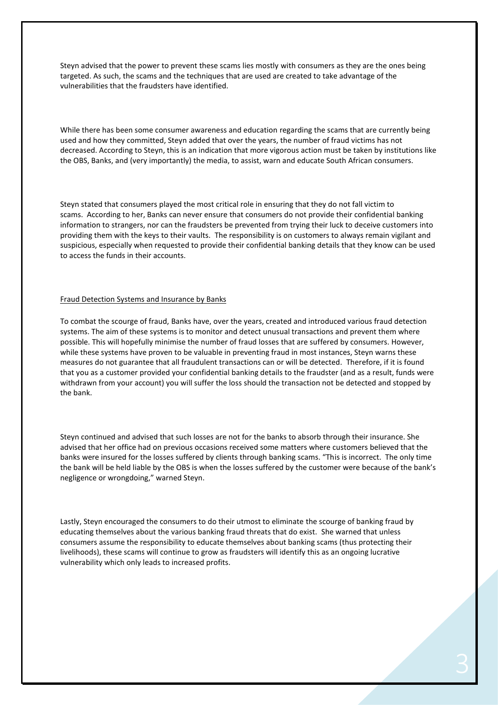Steyn advised that the power to prevent these scams lies mostly with consumers as they are the ones being targeted. As such, the scams and the techniques that are used are created to take advantage of the vulnerabilities that the fraudsters have identified.

While there has been some consumer awareness and education regarding the scams that are currently being used and how they committed, Steyn added that over the years, the number of fraud victims has not decreased. According to Steyn, this is an indication that more vigorous action must be taken by institutions like the OBS, Banks, and (very importantly) the media, to assist, warn and educate South African consumers.

Steyn stated that consumers played the most critical role in ensuring that they do not fall victim to scams. According to her, Banks can never ensure that consumers do not provide their confidential banking information to strangers, nor can the fraudsters be prevented from trying their luck to deceive customers into providing them with the keys to their vaults. The responsibility is on customers to always remain vigilant and suspicious, especially when requested to provide their confidential banking details that they know can be used to access the funds in their accounts.

### Fraud Detection Systems and Insurance by Banks

To combat the scourge of fraud, Banks have, over the years, created and introduced various fraud detection systems. The aim of these systems is to monitor and detect unusual transactions and prevent them where possible. This will hopefully minimise the number of fraud losses that are suffered by consumers. However, while these systems have proven to be valuable in preventing fraud in most instances, Steyn warns these measures do not guarantee that all fraudulent transactions can or will be detected. Therefore, if it is found that you as a customer provided your confidential banking details to the fraudster (and as a result, funds were withdrawn from your account) you will suffer the loss should the transaction not be detected and stopped by the bank.

Steyn continued and advised that such losses are not for the banks to absorb through their insurance. She advised that her office had on previous occasions received some matters where customers believed that the banks were insured for the losses suffered by clients through banking scams. "This is incorrect. The only time the bank will be held liable by the OBS is when the losses suffered by the customer were because of the bank's negligence or wrongdoing," warned Steyn.

Lastly, Steyn encouraged the consumers to do their utmost to eliminate the scourge of banking fraud by educating themselves about the various banking fraud threats that do exist. She warned that unless consumers assume the responsibility to educate themselves about banking scams (thus protecting their livelihoods), these scams will continue to grow as fraudsters will identify this as an ongoing lucrative vulnerability which only leads to increased profits.